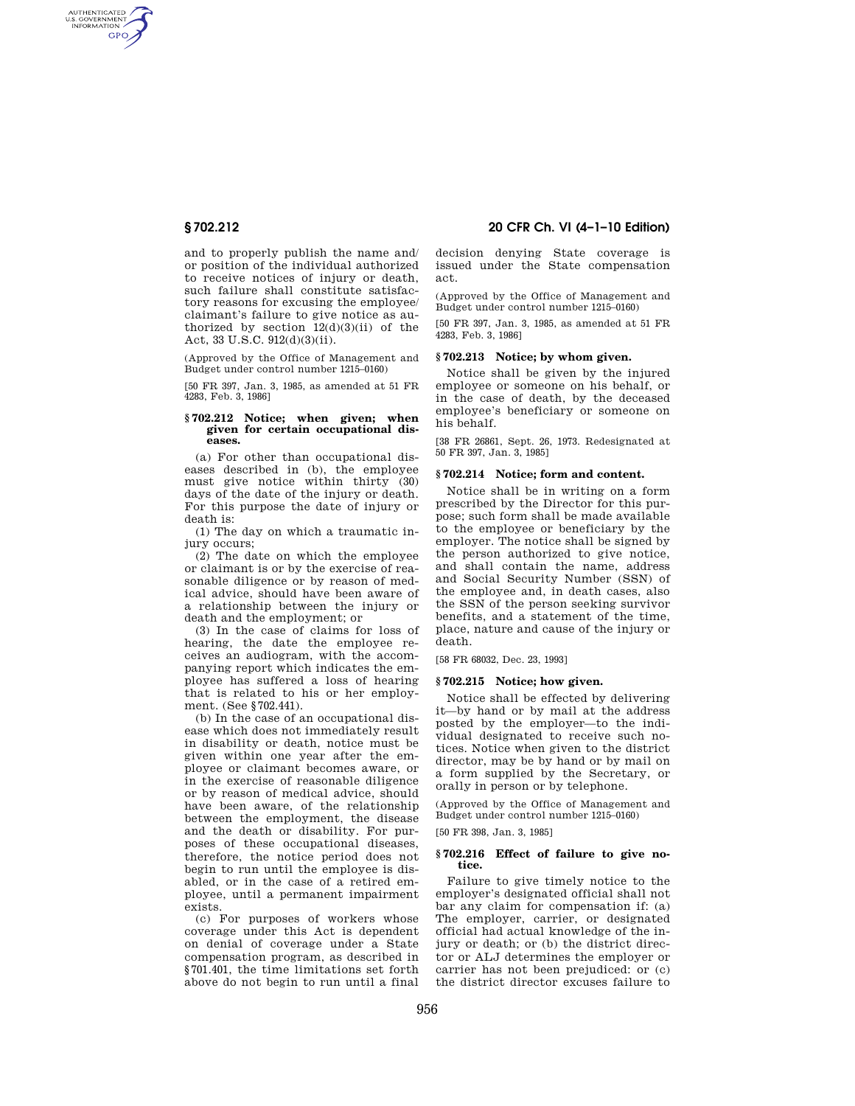AUTHENTICATED<br>U.S. GOVERNMENT<br>INFORMATION **GPO** 

> and to properly publish the name and/ or position of the individual authorized to receive notices of injury or death, such failure shall constitute satisfactory reasons for excusing the employee/ claimant's failure to give notice as authorized by section  $12(d)(3)(ii)$  of the Act, 33 U.S.C. 912(d)(3)(ii).

(Approved by the Office of Management and Budget under control number 1215–0160)

[50 FR 397, Jan. 3, 1985, as amended at 51 FR 4283, Feb. 3, 1986]

## **§ 702.212 Notice; when given; when given for certain occupational diseases.**

(a) For other than occupational diseases described in (b), the employee must give notice within thirty (30) days of the date of the injury or death. For this purpose the date of injury or death is:

(1) The day on which a traumatic injury occurs;

(2) The date on which the employee or claimant is or by the exercise of reasonable diligence or by reason of medical advice, should have been aware of a relationship between the injury or death and the employment; or

(3) In the case of claims for loss of hearing, the date the employee receives an audiogram, with the accompanying report which indicates the employee has suffered a loss of hearing that is related to his or her employment. (See §702.441).

(b) In the case of an occupational disease which does not immediately result in disability or death, notice must be given within one year after the employee or claimant becomes aware, or in the exercise of reasonable diligence or by reason of medical advice, should have been aware, of the relationship between the employment, the disease and the death or disability. For purposes of these occupational diseases, therefore, the notice period does not begin to run until the employee is disabled, or in the case of a retired employee, until a permanent impairment exists.

(c) For purposes of workers whose coverage under this Act is dependent on denial of coverage under a State compensation program, as described in §701.401, the time limitations set forth above do not begin to run until a final

**§ 702.212 20 CFR Ch. VI (4–1–10 Edition)** 

decision denying State coverage is issued under the State compensation act.

(Approved by the Office of Management and Budget under control number 1215–0160)

[50 FR 397, Jan. 3, 1985, as amended at 51 FR 4283, Feb. 3, 1986]

## **§ 702.213 Notice; by whom given.**

Notice shall be given by the injured employee or someone on his behalf, or in the case of death, by the deceased employee's beneficiary or someone on his behalf.

[38 FR 26861, Sept. 26, 1973. Redesignated at 50 FR 397, Jan. 3, 1985]

## **§ 702.214 Notice; form and content.**

Notice shall be in writing on a form prescribed by the Director for this purpose; such form shall be made available to the employee or beneficiary by the employer. The notice shall be signed by the person authorized to give notice, and shall contain the name, address and Social Security Number (SSN) of the employee and, in death cases, also the SSN of the person seeking survivor benefits, and a statement of the time, place, nature and cause of the injury or death.

[58 FR 68032, Dec. 23, 1993]

## **§ 702.215 Notice; how given.**

Notice shall be effected by delivering it—by hand or by mail at the address posted by the employer—to the individual designated to receive such notices. Notice when given to the district director, may be by hand or by mail on a form supplied by the Secretary, or orally in person or by telephone.

(Approved by the Office of Management and Budget under control number 1215–0160)

[50 FR 398, Jan. 3, 1985]

## **§ 702.216 Effect of failure to give notice.**

Failure to give timely notice to the employer's designated official shall not bar any claim for compensation if: (a) The employer, carrier, or designated official had actual knowledge of the injury or death; or (b) the district director or ALJ determines the employer or carrier has not been prejudiced: or (c) the district director excuses failure to